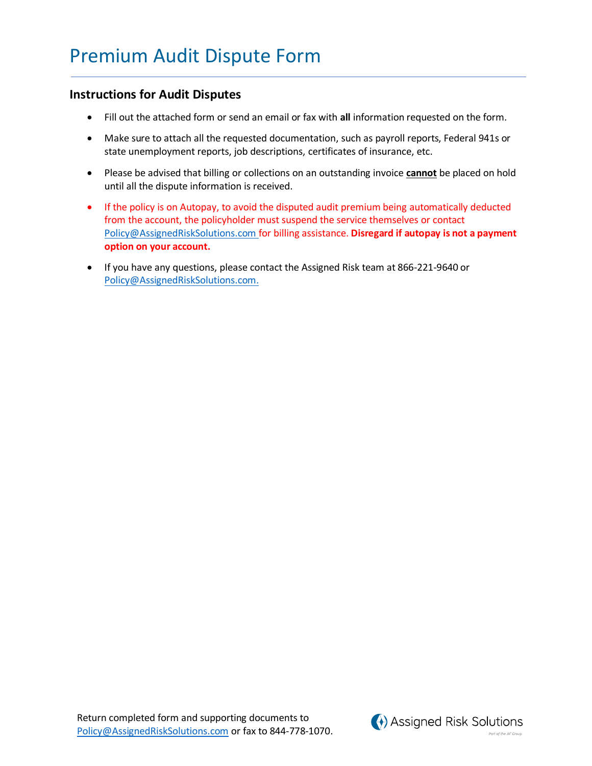## **Instructions for Audit Disputes**

- Fill out the attached form or send an email or fax with **all** information requested on the form.
- Make sure to attach all the requested documentation, such as payroll reports, Federal 941s or state unemployment reports, job descriptions, certificates of insurance, etc.
- Please be advised that billing or collections on an outstanding invoice **cannot** be placed on hold until all the dispute information is received.
- If the policy is on Autopay, to avoid the disputed audit premium being automatically deducted from the account, the policyholder must suspend the service themselves or contact [Policy@AssignedRiskSolutions.com](mailto:Policy@AssignedRiskSolutions.com) for billing assistance. **Disregard if autopay is not a payment option on your account.**
- If you have any questions, please contact the Assigned Risk team at 866-221-9640 or [Policy@AssignedRiskSolutions.com.](mailto:Policy@AssignedRiskSolutions.com)

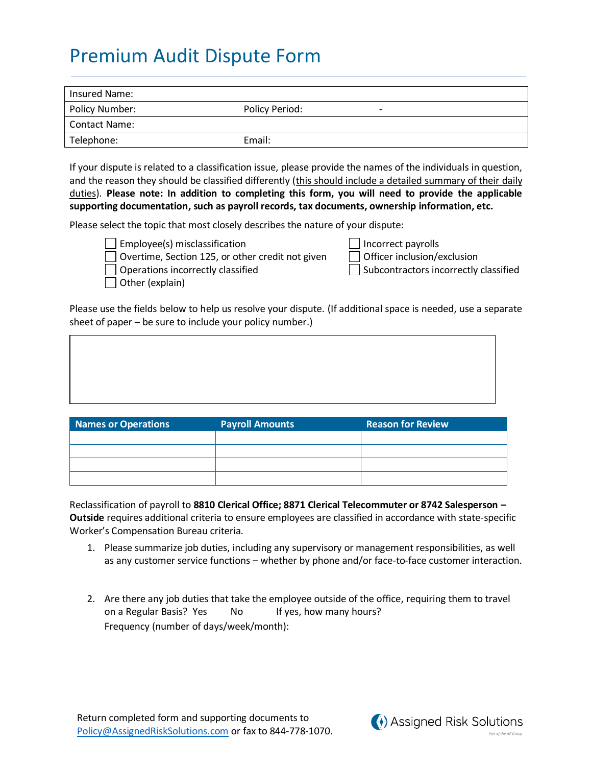## Premium Audit Dispute Form

| Insured Name:  |                     |
|----------------|---------------------|
| Policy Number: | Policy Period:<br>- |
| Contact Name:  |                     |
| Telephone:     | Email:              |

If your dispute is related to a classification issue, please provide the names of the individuals in question, and the reason they should be classified differently (this should include a detailed summary of their daily duties). **Please note: In addition to completing this form, you will need to provide the applicable supporting documentation, such as payroll records, tax documents, ownership information, etc.**

Please select the topic that most closely describes the nature of your dispute:



Employee(s) misclassification Incorrect payrolls Overtime, Section 125, or other credit not given

| Incorrect payrolls           |
|------------------------------|
| $\log$ Officer inclusion /ex |

 $\Box$  Operations incorrectly classified  $\Box$  Subcontractors incorrectly classified

Other (explain)

Please use the fields below to help us resolve your dispute. (If additional space is needed, use a separate sheet of paper – be sure to include your policy number.)

| <b>Names or Operations</b> | <b>Payroll Amounts</b> | <b>Reason for Review</b> |
|----------------------------|------------------------|--------------------------|
|                            |                        |                          |
|                            |                        |                          |
|                            |                        |                          |
|                            |                        |                          |

Reclassification of payroll to **8810 Clerical Office; 8871 Clerical Telecommuter or 8742 Salesperson – Outside** requires additional criteria to ensure employees are classified in accordance with state-specific Worker's Compensation Bureau criteria.

- 1. Please summarize job duties, including any supervisory or management responsibilities, as well as any customer service functions – whether by phone and/or face-to-face customer interaction.
- 2. Are there any job duties that take the employee outside of the office, requiring them to travel on a Regular Basis? Yes No If yes, how many hours? Frequency (number of days/week/month):